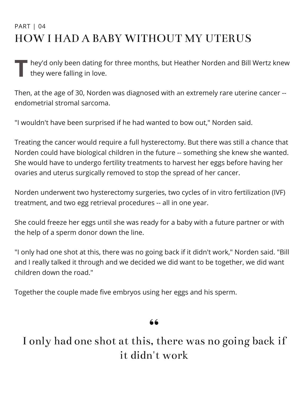### PART | 04 HOW I HAD A BABY WITHOUT MY UTERUS

T hey'd only been dating for three months, but Heather Norden and Bill Wertz knew<br>they were falling in love. they were falling in love.

Then, at the age of 30, Norden was diagnosed with an extremely rare uterine cancer - endometrial stromal sarcoma.

"I wouldn't have been surprised if he had wanted to bow out," Norden said.

Treating the cancer would require a full hysterectomy. But there was still a chance that Norden could have biological children in the future -- something she knew she wanted. She would have to undergo fertility treatments to harvest her eggs before having her ovaries and uterus surgically removed to stop the spread of her cancer.

Norden underwent two hysterectomy surgeries, two cycles of in vitro fertilization (IVF) treatment, and two egg retrieval procedures -- all in one year.

She could freeze her eggs until she was ready for a baby with a future partner or with the help of a sperm donor down the line.

"I only had one shot at this, there was no going back if it didn't work," Norden said. "Bill and I really talked it through and we decided we did want to be together, we did want children down the road."

Together the couple made five embryos using her eggs and his sperm.

 $\begin{array}{c} 66 \\ +1 \end{array}$ I only had one shot at this, there was no going back if it didn't work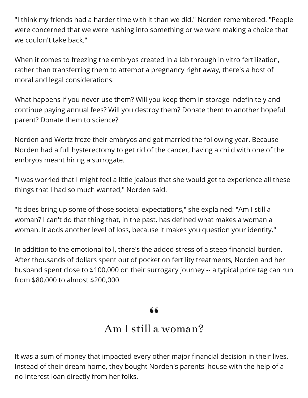"I think my friends had a harder time with it than we did," Norden remembered. "People were concerned that we were rushing into something or we were making a choice that we couldn't take back."

When it comes to freezing the embryos created in a lab through in vitro fertilization, rather than transferring them to attempt a pregnancy right away, there's a host of moral and legal considerations:

What happens if you never use them? Will you keep them in storage indefinitely and continue paying annual fees? Will you destroy them? Donate them to another hopeful parent? Donate them to science?

Norden and Wertz froze their embryos and got married the following year. Because Norden had a full hysterectomy to get rid of the cancer, having a child with one of the embryos meant hiring a surrogate.

"I was worried that I might feel a little jealous that she would get to experience all these things that I had so much wanted," Norden said.

"It does bring up some of those societal expectations," she explained: "Am I still a woman? I can't do that thing that, in the past, has defined what makes a woman a woman. It adds another level of loss, because it makes you question your identity."

In addition to the emotional toll, there's the added stress of a steep financial burden. After thousands of dollars spent out of pocket on fertility treatments, Norden and her husband spent close to \$100,000 on their surrogacy journey -- a typical price tag can run from \$80,000 to almost \$200,000.

# $\begin{array}{c} 66 \\ 1 \end{array}$

### Am I still a woman?

It was a sum of money that impacted every other major financial decision in their lives. Instead of their dream home, they bought Norden's parents' house with the help of a no-interest loan directly from her folks.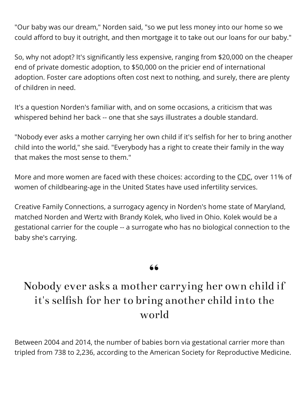"Our baby was our dream," Norden said, "so we put less money into our home so we could afford to buy it outright, and then mortgage it to take out our loans for our baby."

So, why not adopt? It's significantly less expensive, ranging from \$20,000 on the cheaper end of private domestic adoption, to \$50,000 on the pricier end of international adoption. Foster care adoptions often cost next to nothing, and surely, there are plenty of children in need.

It's a question Norden's familiar with, and on some occasions, a criticism that was whispered behind her back -- one that she says illustrates a double standard.

"Nobody ever asks a mother carrying her own child if it's selfish for her to bring another child into the world," she said. "Everybody has a right to create their family in the way that makes the most sense to them."

More and more women are faced with these choices: according to the [CDC,](http://www.cdc.gov/nchs/fastats/infertility.htm) over 11% of women of childbearing-age in the United States have used infertility services.

Creative Family Connections, a surrogacy agency in Norden's home state of Maryland, matched Norden and Wertz with Brandy Kolek, who lived in Ohio. Kolek would be a gestational carrier for the couple -- a surrogate who has no biological connection to the baby she's carrying.

## 66<br>"" Nobody ever asks a mother carrying her own child if it's selfish for her to bring another child into the world

Between 2004 and 2014, the number of babies born via gestational carrier more than tripled from 738 to 2,236, according to the American Society for Reproductive Medicine.